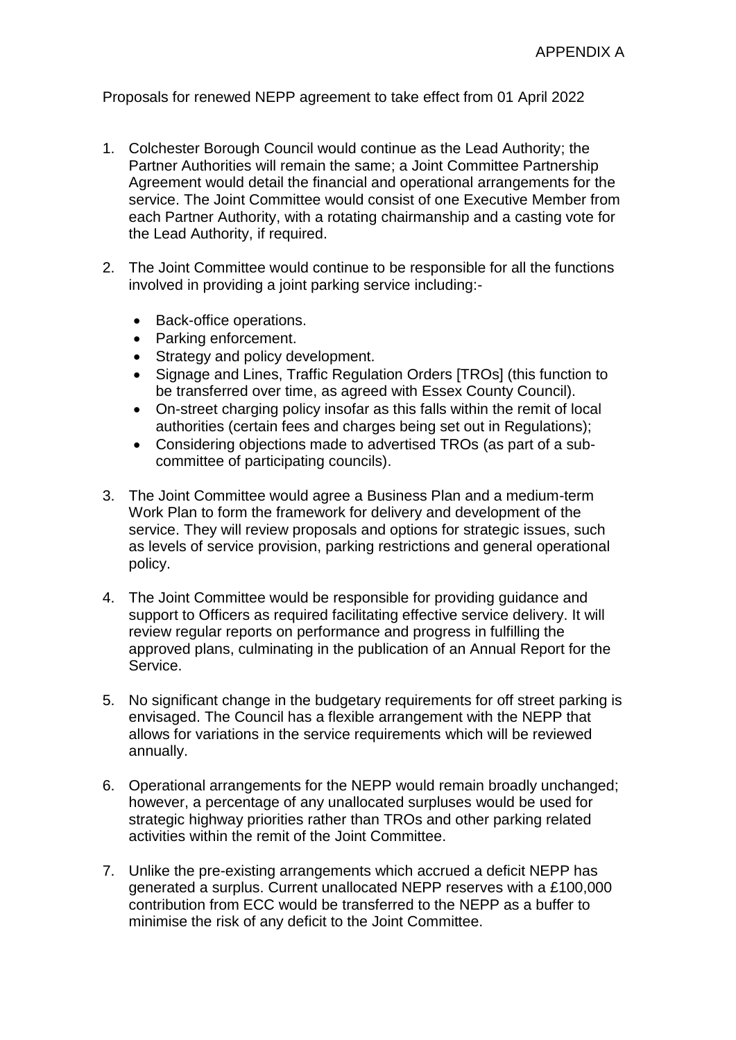Proposals for renewed NEPP agreement to take effect from 01 April 2022

- 1. Colchester Borough Council would continue as the Lead Authority; the Partner Authorities will remain the same; a Joint Committee Partnership Agreement would detail the financial and operational arrangements for the service. The Joint Committee would consist of one Executive Member from each Partner Authority, with a rotating chairmanship and a casting vote for the Lead Authority, if required.
- 2. The Joint Committee would continue to be responsible for all the functions involved in providing a joint parking service including:-
	- Back-office operations.
	- Parking enforcement.
	- Strategy and policy development.
	- Signage and Lines, Traffic Regulation Orders [TROs] (this function to be transferred over time, as agreed with Essex County Council).
	- On-street charging policy insofar as this falls within the remit of local authorities (certain fees and charges being set out in Regulations);
	- Considering objections made to advertised TROs (as part of a subcommittee of participating councils).
- 3. The Joint Committee would agree a Business Plan and a medium-term Work Plan to form the framework for delivery and development of the service. They will review proposals and options for strategic issues, such as levels of service provision, parking restrictions and general operational policy.
- 4. The Joint Committee would be responsible for providing guidance and support to Officers as required facilitating effective service delivery. It will review regular reports on performance and progress in fulfilling the approved plans, culminating in the publication of an Annual Report for the Service.
- 5. No significant change in the budgetary requirements for off street parking is envisaged. The Council has a flexible arrangement with the NEPP that allows for variations in the service requirements which will be reviewed annually.
- 6. Operational arrangements for the NEPP would remain broadly unchanged; however, a percentage of any unallocated surpluses would be used for strategic highway priorities rather than TROs and other parking related activities within the remit of the Joint Committee.
- 7. Unlike the pre-existing arrangements which accrued a deficit NEPP has generated a surplus. Current unallocated NEPP reserves with a £100,000 contribution from ECC would be transferred to the NEPP as a buffer to minimise the risk of any deficit to the Joint Committee.